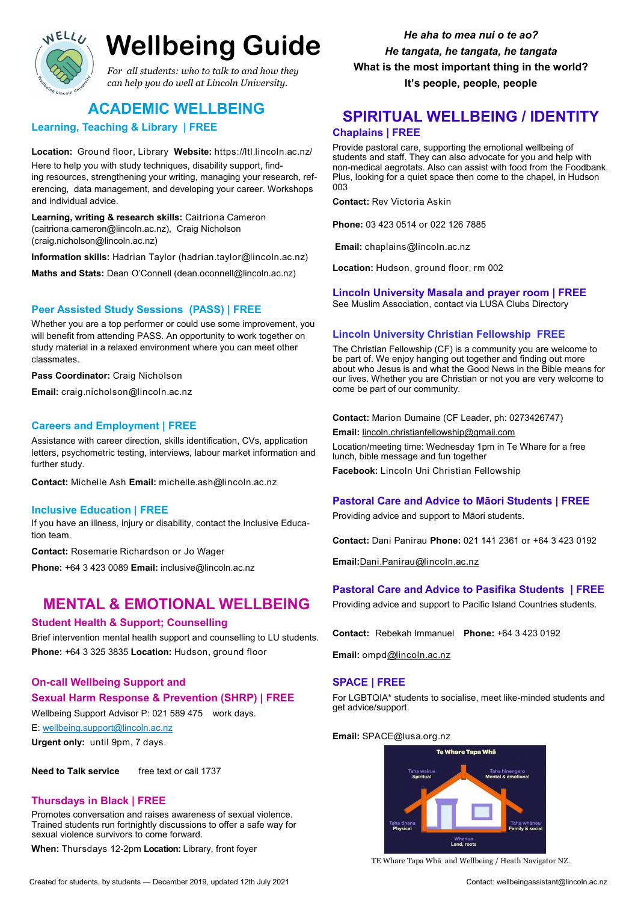

# **Wellbeing Guide**

# **ACADEMIC WELLBEING**

**Learning, Teaching & Library | FREE**

**Location:** Ground floor, Library **Website:** https://ltl.lincoln.ac.nz/

Here to help you with study techniques, disability support, finding resources, strengthening your writing, managing your research, referencing, data management, and developing your career. Workshops and individual advice.

**Learning, writing & research skills:** Caitriona Cameron (caitriona.cameron@lincoln.ac.nz),Craig Nicholson (craig.nicholson@lincoln.ac.nz)

**Information skills:** Hadrian Taylor (hadrian.taylor@lincoln.ac.nz)

**Maths and Stats:** Dean O'Connell (dean.oconnell@lincoln.ac.nz)

### **Peer Assisted Study Sessions (PASS) | FREE**

Whether you are a top performer or could use some improvement, you will benefit from attending PASS. An opportunity to work together on study material in a relaxed environment where you can meet other classmates.

**Pass Coordinator:** Craig Nicholson

**Email:** craig.nicholson@lincoln.ac.nz

### **Careers and Employment | FREE**

Assistance with career direction, skills identification, CVs, application letters, psychometric testing, interviews, labour market information and further study.

**Contact:** Michelle Ash **Email:** michelle.ash@lincoln.ac.nz

### **Inclusive Education | FREE**

If you have an illness, injury or disability, contact the Inclusive Education team.

**Contact:** Rosemarie Richardson or Jo Wager

**Phone:** +64 3 423 0089 **Email:** inclusive@lincoln.ac.nz

# **MENTAL & EMOTIONAL WELLBEING**

### **Student Health & Support; Counselling**

Brief intervention mental health support and counselling to LU students. **Phone:** +64 3 325 3835 **Location:** Hudson, ground floor

### **On-call Wellbeing Support and**

### **Sexual Harm Response & Prevention (SHRP) | FREE**

Wellbeing Support Advisor P: 021 589 475 work days.

E: [wellbeing.support@lincoln.ac.nz](mailto:wellbeing.support@lincoln.ac.nz)

**Urgent only:** until 9pm, 7 days.

**Need to Talk service** free text or call 1737

### **Thursdays in Black | FREE**

Promotes conversation and raises awareness of sexual violence. Trained students run fortnightly discussions to offer a safe way for sexual violence survivors to come forward.

**When:** Thursdays 12-2pm **Location:** Library, front foyer

Created for students, by students — December 2019, updated 12th July 2021 Created Music Contact: wellbeingassistant@lincoln.ac.nz

*He aha to mea nui o te ao? He tangata, he tangata, he tangata* **What is the most important thing in the world? It's people, people, people**

# **SPIRITUAL WELLBEING / IDENTITY Chaplains | FREE**

Provide pastoral care, supporting the emotional wellbeing of students and staff. They can also advocate for you and help with non-medical aegrotats. Also can assist with food from the Foodbank. Plus, looking for a quiet space then come to the chapel, in Hudson 003

**Contact:** Rev Victoria Askin

**Phone:** 03 423 0514 or 022 126 7885

**Email:** chaplains@lincoln.ac.nz

**Location:** Hudson, ground floor, rm 002

### **Lincoln University Masala and prayer room | FREE**

See Muslim Association, contact via LUSA Clubs Directory

### **Lincoln University Christian Fellowship FREE**

The Christian Fellowship (CF) is a community you are welcome to be part of. We enjoy hanging out together and finding out more about who Jesus is and what the Good News in the Bible means for our lives. Whether you are Christian or not you are very welcome to come be part of our community.

### **Contact:** Marion Dumaine (CF Leader, ph: 0273426747)

**Email:** [lincoln.christianfellowship@gmail.com](mailto:lincoln.christianfellowship@gmail.com)

Location/meeting time: Wednesday 1pm in Te Whare for a free lunch, bible message and fun together

**Facebook:** Lincoln Uni Christian Fellowship

### **Pastoral Care and Advice to Māori Students | FREE**

Providing advice and support to Māori students.

**Contact:** Dani Panirau **Phone:** 021 141 2361 or +64 3 423 0192

**Email:**[Dani.Panirau@lincoln.ac.nz](mailto:Dani.Panirau@lincoln.ac.nz)

### **Pastoral Care and Advice to Pasifika Students | FREE**

Providing advice and support to Pacific Island Countries students.

**Contact:** Rebekah Immanuel **Phone:** +64 3 423 0192

**Email:** ompd[@lincoln.ac.nz](mailto:Dani.Panirau@lincoln.ac.nz)

### **SPACE | FREE**

For LGBTQIA\* students to socialise, meet like-minded students and get advice/support.

### **Email:** SPACE@lusa.org.nz



TE Whare Tapa Whā and Wellbeing / Heath Navigator NZ.

*For all students: who to talk to and how they can help you do well at Lincoln University.*